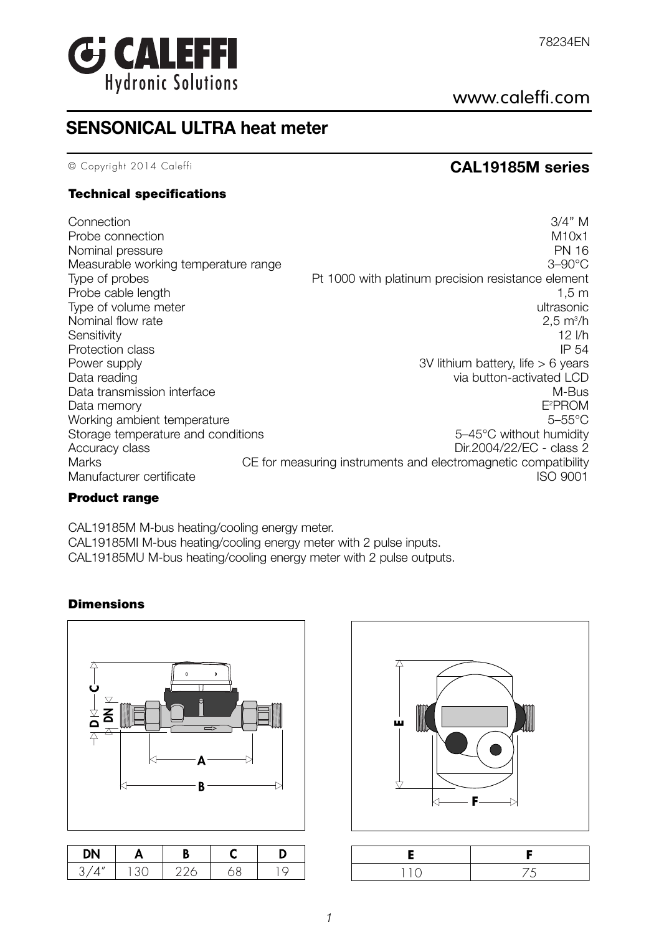

# www.caleffi.com

# **SENSONICAL ULTRA heat meter**

# © Copyright 2014 Caleffi **CAL19185M series**

## **Technical specifications**

| Connection<br>Probe connection<br>Nominal pressure<br>Measurable working temperature range | 3/4" M<br>M10x1<br><b>PN 16</b><br>$3-90^{\circ}$ C            |
|--------------------------------------------------------------------------------------------|----------------------------------------------------------------|
| Type of probes                                                                             | Pt 1000 with platinum precision resistance element             |
| Probe cable length                                                                         | $1,5 \; \mathrm{m}$                                            |
| Type of volume meter                                                                       | ultrasonic                                                     |
| Nominal flow rate                                                                          | $2.5 \text{ m}^3/h$                                            |
| Sensitivity                                                                                | $12$ $1/h$                                                     |
| Protection class                                                                           | IP 54                                                          |
| Power supply                                                                               | 3V lithium battery, life $> 6$ years                           |
| Data reading                                                                               | via button-activated LCD                                       |
| Data transmission interface                                                                | M-Bus                                                          |
| Data memory                                                                                | E <sup>2</sup> PROM                                            |
| Working ambient temperature                                                                | $5-55^{\circ}$ C                                               |
| Storage temperature and conditions                                                         | 5-45°C without humidity                                        |
| Accuracy class                                                                             | Dir.2004/22/EC - class 2                                       |
| <b>Marks</b>                                                                               | CE for measuring instruments and electromagnetic compatibility |
| Manufacturer certificate                                                                   | ISO 9001                                                       |

### **Product range**

CAL19185M M-bus heating/cooling energy meter. CAL19185MI M-bus heating/cooling energy meter with 2 pulse inputs. CAL19185MU M-bus heating/cooling energy meter with 2 pulse outputs.

# **Dimensions**



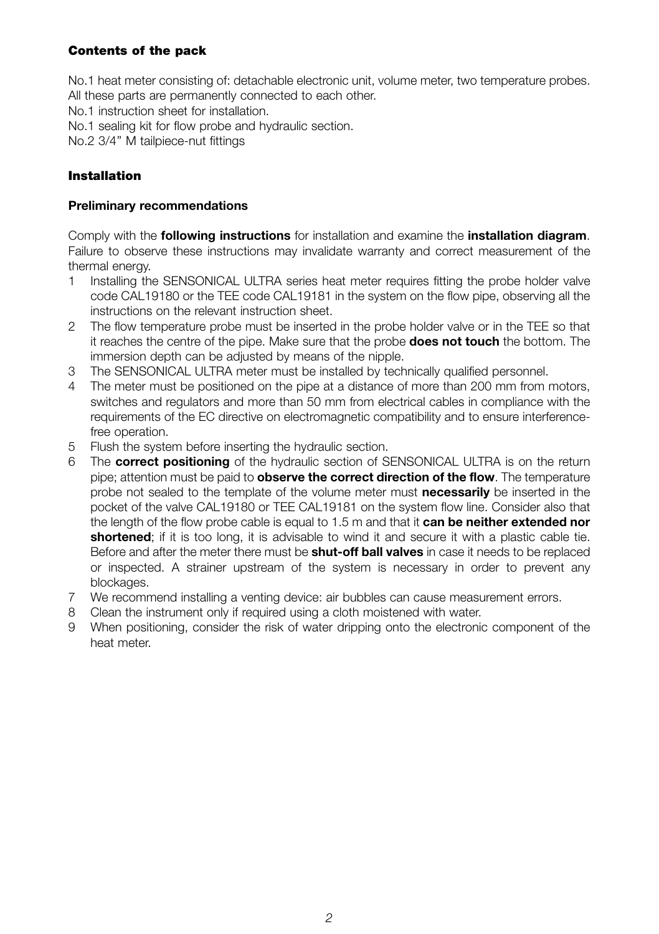# **Contents of the pack**

No.1 heat meter consisting of: detachable electronic unit, volume meter, two temperature probes. All these parts are permanently connected to each other.

No.1 instruction sheet for installation.

- No.1 sealing kit for flow probe and hydraulic section.
- No.2 3/4'' M tailpiece-nut fittings

# **Installation**

### **Preliminary recommendations**

Comply with the **following instructions** for installation and examine the **installation diagram**. Failure to observe these instructions may invalidate warranty and correct measurement of the thermal energy.

- 1 Installing the SENSONICAL ULTRA series heat meter requires fitting the probe holder valve code CAL19180 or the TEE code CAL19181 in the system on the flow pipe, observing all the instructions on the relevant instruction sheet.
- 2 The flow temperature probe must be inserted in the probe holder valve or in the TEE so that it reaches the centre of the pipe. Make sure that the probe **does not touch** the bottom. The immersion depth can be adjusted by means of the nipple.
- 3 The SENSONICAL ULTRA meter must be installed by technically qualified personnel.
- 4 The meter must be positioned on the pipe at a distance of more than 200 mm from motors, switches and regulators and more than 50 mm from electrical cables in compliance with the requirements of the EC directive on electromagnetic compatibility and to ensure interferencefree operation.
- 5 Flush the system before inserting the hydraulic section.
- 6 The **correct positioning** of the hydraulic section of SENSONICAL ULTRA is on the return pipe; attention must be paid to **observe the correct direction of the flow**. The temperature probe not sealed to the template of the volume meter must **necessarily** be inserted in the pocket of the valve CAL19180 or TEE CAL19181 on the system flow line. Consider also that the length of the flow probe cable is equal to 1.5 m and that it **can be neither extended nor shortened**; if it is too long, it is advisable to wind it and secure it with a plastic cable tie. Before and after the meter there must be **shut-off ball valves** in case it needs to be replaced or inspected. A strainer upstream of the system is necessary in order to prevent any blockages.
- 7 We recommend installing a venting device: air bubbles can cause measurement errors.
- 8 Clean the instrument only if required using a cloth moistened with water.
- 9 When positioning, consider the risk of water dripping onto the electronic component of the heat meter.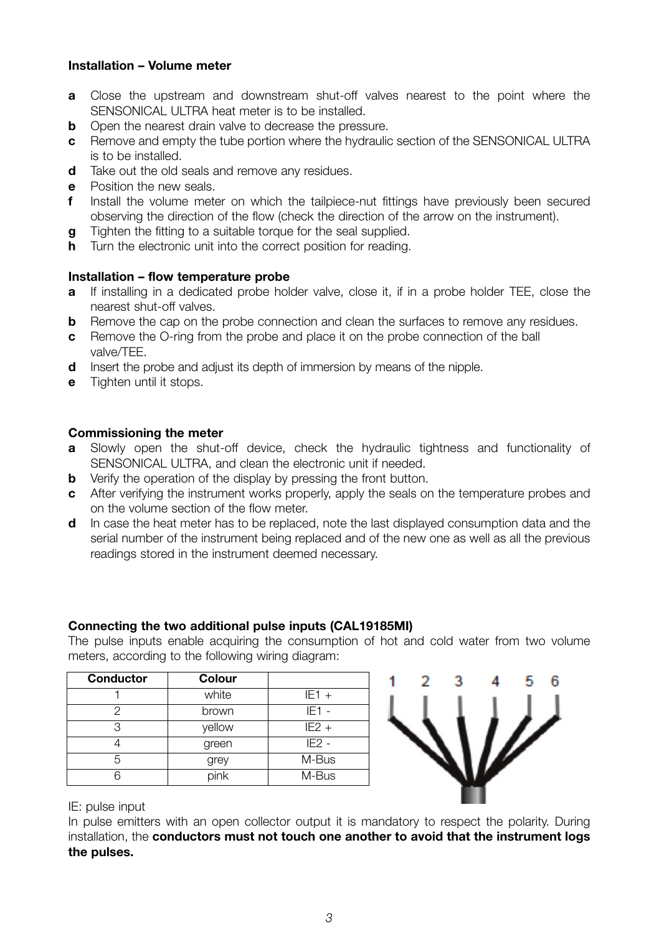### **Installation – Volume meter**

- **a** Close the upstream and downstream shut-off valves nearest to the point where the SENSONICAL ULTRA heat meter is to be installed.
- **b** Open the nearest drain valve to decrease the pressure.
- **c** Remove and empty the tube portion where the hydraulic section of the SENSONICAL ULTRA is to be installed.
- **d** Take out the old seals and remove any residues.
- **e** Position the new seals.
- **f** Install the volume meter on which the tailpiece-nut fittings have previously been secured observing the direction of the flow (check the direction of the arrow on the instrument).
- **g** Tighten the fitting to a suitable torque for the seal supplied.
- **h** Turn the electronic unit into the correct position for reading.

#### **Installation – flow temperature probe**

- **a** If installing in a dedicated probe holder valve, close it, if in a probe holder TEE, close the nearest shut-off valves.
- **b** Remove the cap on the probe connection and clean the surfaces to remove any residues.
- **c** Remove the O-ring from the probe and place it on the probe connection of the ball valve/TEE.
- **d** Insert the probe and adjust its depth of immersion by means of the nipple.
- **e** Tighten until it stops.

### **Commissioning the meter**

- **a** Slowly open the shut-off device, check the hydraulic tightness and functionality of SENSONICAL ULTRA, and clean the electronic unit if needed.
- **b** Verify the operation of the display by pressing the front button.
- **c** After verifying the instrument works properly, apply the seals on the temperature probes and on the volume section of the flow meter.
- **d** In case the heat meter has to be replaced, note the last displayed consumption data and the serial number of the instrument being replaced and of the new one as well as all the previous readings stored in the instrument deemed necessary.

#### **Connecting the two additional pulse inputs (CAL19185MI)**

The pulse inputs enable acquiring the consumption of hot and cold water from two volume meters, according to the following wiring diagram:

| Conductor | Colour |         |
|-----------|--------|---------|
|           | white  | $IF1 +$ |
|           | brown  | $IE1 -$ |
| 3         | vellow | $IF2 +$ |
|           | green  | $IE2 -$ |
| 5         | grey   | M-Bus   |
| ่ค        | pink   | M-Bus   |



IE: pulse input

In pulse emitters with an open collector output it is mandatory to respect the polarity. During installation, the **conductors must not touch one another to avoid that the instrument logs the pulses.**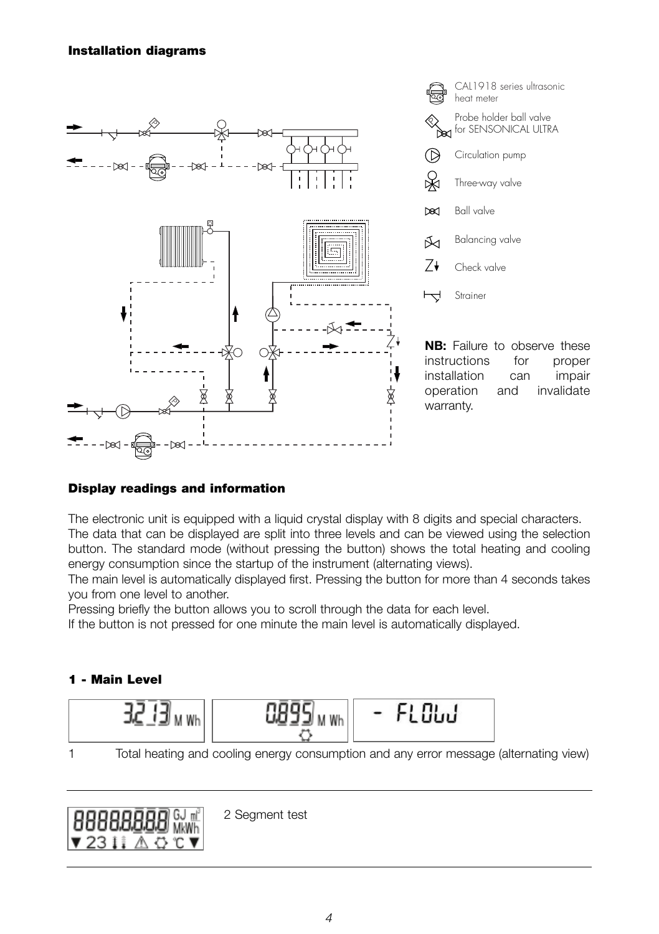### **Installation diagrams**



# **Display readings and information**

The electronic unit is equipped with a liquid crystal display with 8 digits and special characters. The data that can be displayed are split into three levels and can be viewed using the selection button. The standard mode (without pressing the button) shows the total heating and cooling energy consumption since the startup of the instrument (alternating views).

The main level is automatically displayed first. Pressing the button for more than 4 seconds takes you from one level to another.

Pressing briefly the button allows you to scroll through the data for each level.

If the button is not pressed for one minute the main level is automatically displayed.

# **1 - Main Level**



1 Total heating and cooling energy consumption and any error message (alternating view)



2 Segment test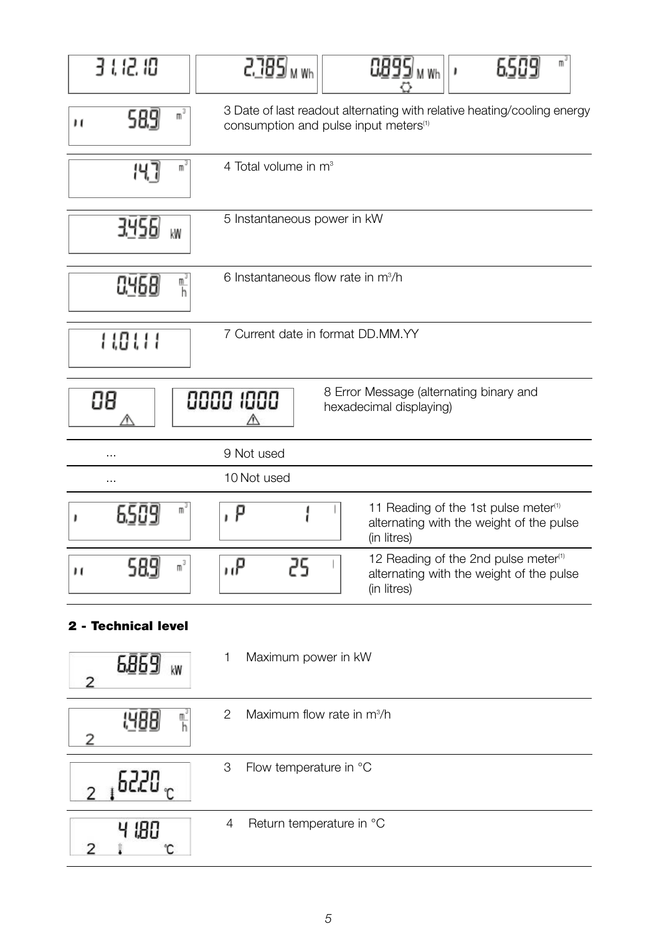| 3 1 12 10                                                                             | 2.785 m wh<br>0895  <sub>м Wh</sub><br>m                                                                                     |  |  |  |
|---------------------------------------------------------------------------------------|------------------------------------------------------------------------------------------------------------------------------|--|--|--|
| m <sup>3</sup><br>589<br>н                                                            | 3 Date of last readout alternating with relative heating/cooling energy<br>consumption and pulse input meters <sup>(1)</sup> |  |  |  |
| m <sup>3</sup><br>147                                                                 | 4 Total volume in m <sup>3</sup>                                                                                             |  |  |  |
| 3456<br>kW                                                                            | 5 Instantaneous power in kW                                                                                                  |  |  |  |
| $\frac{n^3}{h}$<br>0.468                                                              | 6 Instantaneous flow rate in m <sup>3</sup> /h                                                                               |  |  |  |
| រ ទេ រ រ                                                                              | 7 Current date in format DD.MM.YY                                                                                            |  |  |  |
| 8 Error Message (alternating binary and<br>0000 1000<br>88<br>hexadecimal displaying) |                                                                                                                              |  |  |  |
| $\cdots$                                                                              | 9 Not used                                                                                                                   |  |  |  |
| .                                                                                     | 10 Not used                                                                                                                  |  |  |  |
| W,<br>6.SC                                                                            | 11 Reading of the 1st pulse meter <sup>(1)</sup><br>P<br>alternating with the weight of the pulse<br>(in litres)             |  |  |  |
| 589<br>m,<br>н                                                                        | 12 Reading of the 2nd pulse meter <sup>(1)</sup><br>۹,,<br>25<br>alternating with the weight of the pulse<br>(in litres)     |  |  |  |
| 2 - Technical level                                                                   |                                                                                                                              |  |  |  |

| kW<br>2 |   | Maximum power in kW                    |
|---------|---|----------------------------------------|
| 腎       | 2 | Maximum flow rate in m <sup>3</sup> /h |
|         | 3 | Flow temperature in °C                 |
|         | 4 | Return temperature in °C               |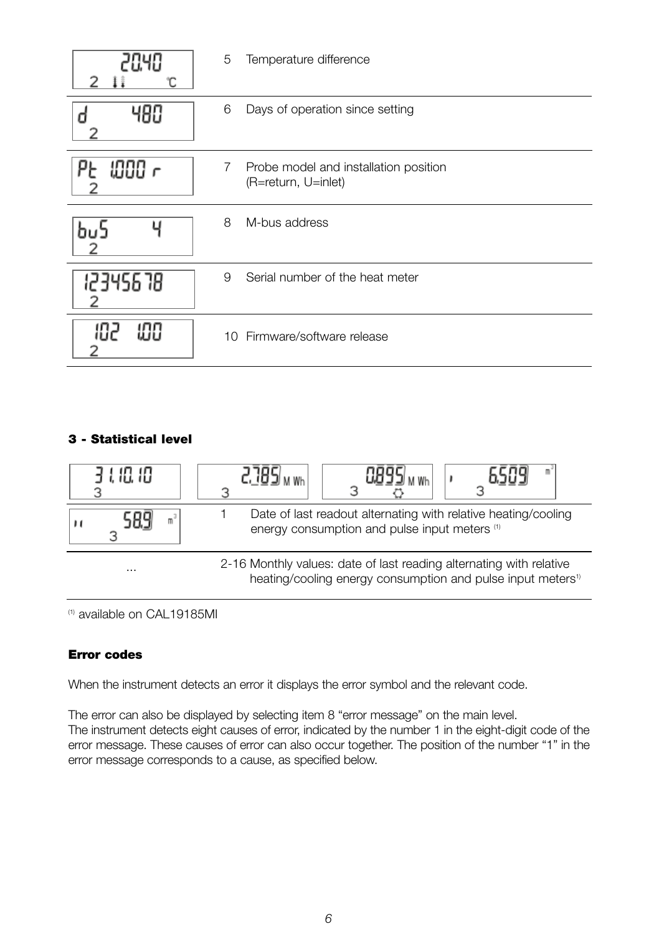| 20.40       | 5 | Temperature difference                                       |
|-------------|---|--------------------------------------------------------------|
|             | 6 | Days of operation since setting                              |
| 1000 r      | 7 | Probe model and installation position<br>(R=return, U=inlet) |
|             | 8 | M-bus address                                                |
| 12345678    | 9 | Serial number of the heat meter                              |
| 86 I<br>999 |   | 10 Firmware/software release                                 |

# **3 - Statistical level**



(1) available on CAL19185MI

# **Error codes**

When the instrument detects an error it displays the error symbol and the relevant code.

The error can also be displayed by selecting item 8 "error message" on the main level. The instrument detects eight causes of error, indicated by the number 1 in the eight-digit code of the error message. These causes of error can also occur together. The position of the number "1" in the error message corresponds to a cause, as specified below.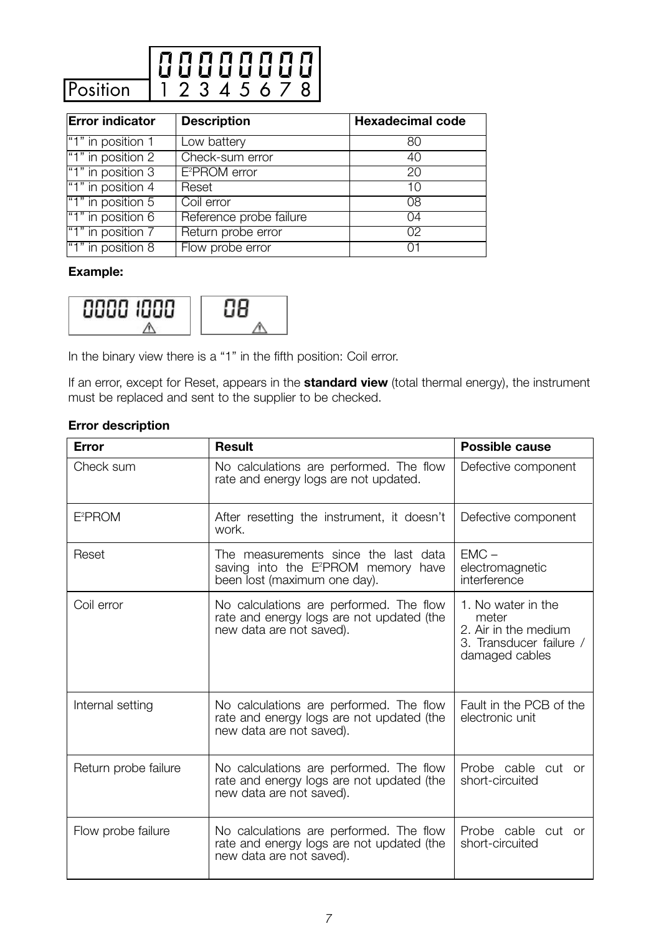

| <b>Error indicator</b> | <b>Description</b>        | <b>Hexadecimal code</b> |
|------------------------|---------------------------|-------------------------|
| "1" in position 1      | Low battery               | 80                      |
| "1" in position 2      | Check-sum error           | 40                      |
| "1" in position 3      | E <sup>2</sup> PROM error | 20                      |
| "1" in position 4      | Reset                     | 10                      |
| "1" in position 5      | Coil error                | 08                      |
| "1" in position 6      | Reference probe failure   | 04                      |
| "1" in position 7      | Return probe error        | 02                      |
| "1" in position 8      | Flow probe error          |                         |

## **Example:**



In the binary view there is a "1" in the fifth position: Coil error.

If an error, except for Reset, appears in the **standard view** (total thermal energy), the instrument must be replaced and sent to the supplier to be checked.

# **Error description**

| Error                | <b>Result</b>                                                                                                           | Possible cause                                                                                   |
|----------------------|-------------------------------------------------------------------------------------------------------------------------|--------------------------------------------------------------------------------------------------|
| Check sum            | No calculations are performed. The flow<br>rate and energy logs are not updated.                                        | Defective component                                                                              |
| $E^2$ PROM           | After resetting the instrument, it doesn't<br>work.                                                                     | Defective component                                                                              |
| Reset                | The measurements since the last data<br>saving into the E <sup>2</sup> PROM memory have<br>been lost (maximum one day). | $EMC -$<br>electromagnetic<br>interference                                                       |
| Coil error           | No calculations are performed. The flow<br>rate and energy logs are not updated (the<br>new data are not saved).        | 1. No water in the<br>meter<br>2. Air in the medium<br>3. Transducer failure /<br>damaged cables |
| Internal setting     | No calculations are performed. The flow<br>rate and energy logs are not updated (the<br>new data are not saved).        | Fault in the PCB of the<br>electronic unit                                                       |
| Return probe failure | No calculations are performed. The flow<br>rate and energy logs are not updated (the<br>new data are not saved).        | Probe cable cut or<br>short-circuited                                                            |
| Flow probe failure   | No calculations are performed. The flow<br>rate and energy logs are not updated (the<br>new data are not saved).        | Probe cable cut or<br>short-circuited                                                            |